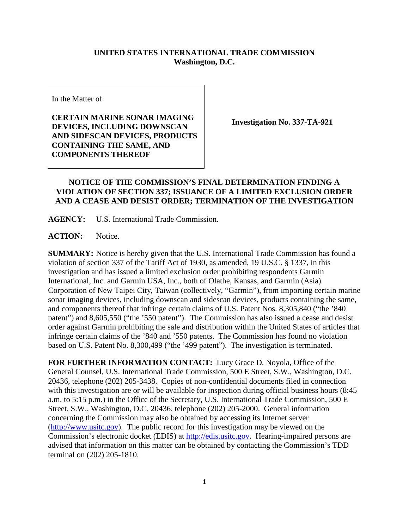## **UNITED STATES INTERNATIONAL TRADE COMMISSION Washington, D.C.**

In the Matter of

**CERTAIN MARINE SONAR IMAGING DEVICES, INCLUDING DOWNSCAN AND SIDESCAN DEVICES, PRODUCTS CONTAINING THE SAME, AND COMPONENTS THEREOF**

**Investigation No. 337-TA-921**

## **NOTICE OF THE COMMISSION'S FINAL DETERMINATION FINDING A VIOLATION OF SECTION 337; ISSUANCE OF A LIMITED EXCLUSION ORDER AND A CEASE AND DESIST ORDER; TERMINATION OF THE INVESTIGATION**

**AGENCY:** U.S. International Trade Commission.

**ACTION:** Notice.

**SUMMARY:** Notice is hereby given that the U.S. International Trade Commission has found a violation of section 337 of the Tariff Act of 1930, as amended, 19 U.S.C. § 1337, in this investigation and has issued a limited exclusion order prohibiting respondents Garmin International, Inc. and Garmin USA, Inc., both of Olathe, Kansas, and Garmin (Asia) Corporation of New Taipei City, Taiwan (collectively, "Garmin"), from importing certain marine sonar imaging devices, including downscan and sidescan devices, products containing the same, and components thereof that infringe certain claims of U.S. Patent Nos. 8,305,840 ("the '840 patent") and 8,605,550 ("the '550 patent"). The Commission has also issued a cease and desist order against Garmin prohibiting the sale and distribution within the United States of articles that infringe certain claims of the '840 and '550 patents. The Commission has found no violation based on U.S. Patent No. 8,300,499 ("the '499 patent"). The investigation is terminated.

**FOR FURTHER INFORMATION CONTACT:** Lucy Grace D. Noyola, Office of the General Counsel, U.S. International Trade Commission, 500 E Street, S.W., Washington, D.C. 20436, telephone (202) 205-3438. Copies of non-confidential documents filed in connection with this investigation are or will be available for inspection during official business hours (8:45) a.m. to 5:15 p.m.) in the Office of the Secretary, U.S. International Trade Commission, 500 E Street, S.W., Washington, D.C. 20436, telephone (202) 205-2000. General information concerning the Commission may also be obtained by accessing its Internet server [\(http://www.usitc.gov\)](http://www.usitc.gov/). The public record for this investigation may be viewed on the Commission's electronic docket (EDIS) at [http://edis.usitc.gov.](http://edis.usitc.gov/) Hearing-impaired persons are advised that information on this matter can be obtained by contacting the Commission's TDD terminal on (202) 205-1810.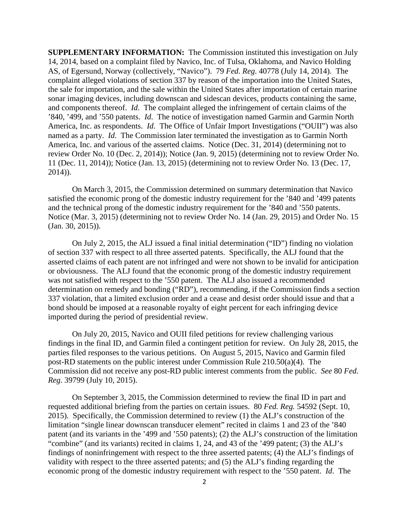**SUPPLEMENTARY INFORMATION:** The Commission instituted this investigation on July 14, 2014, based on a complaint filed by Navico, Inc. of Tulsa, Oklahoma, and Navico Holding AS, of Egersund, Norway (collectively, "Navico"). 79 *Fed. Reg*. 40778 (July 14, 2014). The complaint alleged violations of section 337 by reason of the importation into the United States, the sale for importation, and the sale within the United States after importation of certain marine sonar imaging devices, including downscan and sidescan devices, products containing the same, and components thereof. *Id*. The complaint alleged the infringement of certain claims of the '840, '499, and '550 patents. *Id*. The notice of investigation named Garmin and Garmin North America, Inc. as respondents. *Id*. The Office of Unfair Import Investigations ("OUII") was also named as a party. *Id*. The Commission later terminated the investigation as to Garmin North America, Inc. and various of the asserted claims. Notice (Dec. 31, 2014) (determining not to review Order No. 10 (Dec. 2, 2014)); Notice (Jan. 9, 2015) (determining not to review Order No. 11 (Dec. 11, 2014)); Notice (Jan. 13, 2015) (determining not to review Order No. 13 (Dec. 17, 2014)).

On March 3, 2015, the Commission determined on summary determination that Navico satisfied the economic prong of the domestic industry requirement for the '840 and '499 patents and the technical prong of the domestic industry requirement for the '840 and '550 patents. Notice (Mar. 3, 2015) (determining not to review Order No. 14 (Jan. 29, 2015) and Order No. 15 (Jan. 30, 2015)).

On July 2, 2015, the ALJ issued a final initial determination ("ID") finding no violation of section 337 with respect to all three asserted patents. Specifically, the ALJ found that the asserted claims of each patent are not infringed and were not shown to be invalid for anticipation or obviousness. The ALJ found that the economic prong of the domestic industry requirement was not satisfied with respect to the '550 patent. The ALJ also issued a recommended determination on remedy and bonding ("RD"), recommending, if the Commission finds a section 337 violation, that a limited exclusion order and a cease and desist order should issue and that a bond should be imposed at a reasonable royalty of eight percent for each infringing device imported during the period of presidential review.

On July 20, 2015, Navico and OUII filed petitions for review challenging various findings in the final ID, and Garmin filed a contingent petition for review. On July 28, 2015, the parties filed responses to the various petitions. On August 5, 2015, Navico and Garmin filed post-RD statements on the public interest under Commission Rule 210.50(a)(4). The Commission did not receive any post-RD public interest comments from the public. *See* 80 *Fed. Reg.* 39799 (July 10, 2015).

On September 3, 2015, the Commission determined to review the final ID in part and requested additional briefing from the parties on certain issues. 80 *Fed. Reg.* 54592 (Sept. 10, 2015). Specifically, the Commission determined to review (1) the ALJ's construction of the limitation "single linear downscan transducer element" recited in claims 1 and 23 of the '840 patent (and its variants in the '499 and '550 patents); (2) the ALJ's construction of the limitation "combine" (and its variants) recited in claims 1, 24, and 43 of the '499 patent; (3) the ALJ's findings of noninfringement with respect to the three asserted patents; (4) the ALJ's findings of validity with respect to the three asserted patents; and (5) the ALJ's finding regarding the economic prong of the domestic industry requirement with respect to the '550 patent. *Id*. The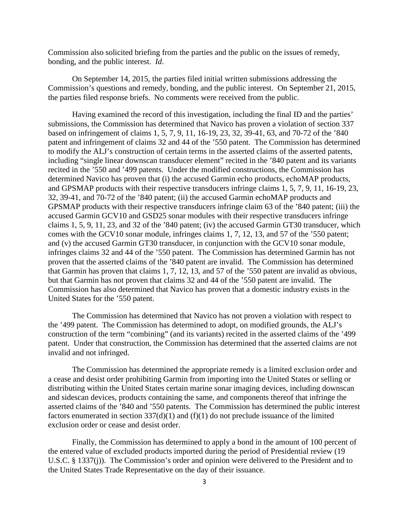Commission also solicited briefing from the parties and the public on the issues of remedy, bonding, and the public interest. *Id*.

On September 14, 2015, the parties filed initial written submissions addressing the Commission's questions and remedy, bonding, and the public interest. On September 21, 2015, the parties filed response briefs. No comments were received from the public.

Having examined the record of this investigation, including the final ID and the parties' submissions, the Commission has determined that Navico has proven a violation of section 337 based on infringement of claims 1, 5, 7, 9, 11, 16-19, 23, 32, 39-41, 63, and 70-72 of the '840 patent and infringement of claims 32 and 44 of the '550 patent. The Commission has determined to modify the ALJ's construction of certain terms in the asserted claims of the asserted patents, including "single linear downscan transducer element" recited in the '840 patent and its variants recited in the '550 and '499 patents. Under the modified constructions, the Commission has determined Navico has proven that (i) the accused Garmin echo products, echoMAP products, and GPSMAP products with their respective transducers infringe claims 1, 5, 7, 9, 11, 16-19, 23, 32, 39-41, and 70-72 of the '840 patent; (ii) the accused Garmin echoMAP products and GPSMAP products with their respective transducers infringe claim 63 of the '840 patent; (iii) the accused Garmin GCV10 and GSD25 sonar modules with their respective transducers infringe claims 1, 5, 9, 11, 23, and 32 of the '840 patent; (iv) the accused Garmin GT30 transducer, which comes with the GCV10 sonar module, infringes claims 1, 7, 12, 13, and 57 of the '550 patent; and (v) the accused Garmin GT30 transducer, in conjunction with the GCV10 sonar module, infringes claims 32 and 44 of the '550 patent. The Commission has determined Garmin has not proven that the asserted claims of the '840 patent are invalid. The Commission has determined that Garmin has proven that claims 1, 7, 12, 13, and 57 of the '550 patent are invalid as obvious, but that Garmin has not proven that claims 32 and 44 of the '550 patent are invalid. The Commission has also determined that Navico has proven that a domestic industry exists in the United States for the '550 patent.

The Commission has determined that Navico has not proven a violation with respect to the '499 patent. The Commission has determined to adopt, on modified grounds, the ALJ's construction of the term "combining" (and its variants) recited in the asserted claims of the '499 patent. Under that construction, the Commission has determined that the asserted claims are not invalid and not infringed.

The Commission has determined the appropriate remedy is a limited exclusion order and a cease and desist order prohibiting Garmin from importing into the United States or selling or distributing within the United States certain marine sonar imaging devices, including downscan and sidescan devices, products containing the same, and components thereof that infringe the asserted claims of the '840 and '550 patents. The Commission has determined the public interest factors enumerated in section  $337(d)(1)$  and  $(f)(1)$  do not preclude issuance of the limited exclusion order or cease and desist order.

Finally, the Commission has determined to apply a bond in the amount of 100 percent of the entered value of excluded products imported during the period of Presidential review (19 U.S.C. § 1337(j)). The Commission's order and opinion were delivered to the President and to the United States Trade Representative on the day of their issuance.